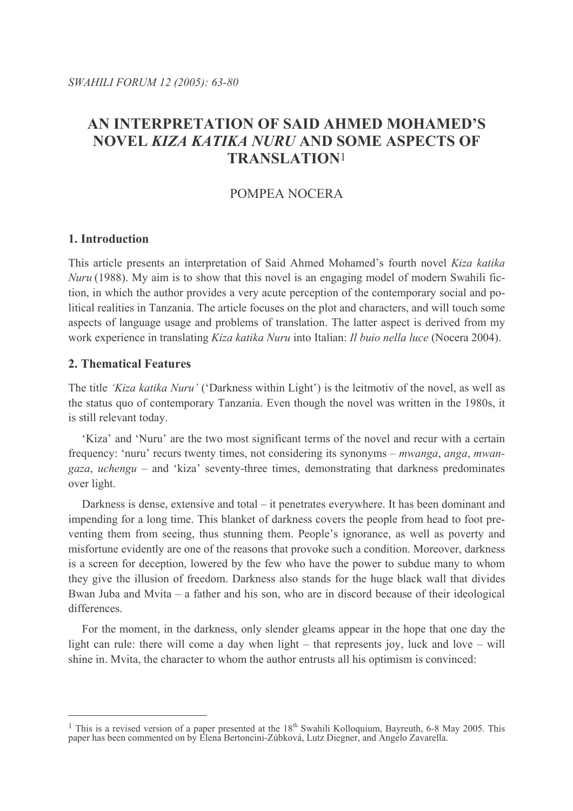# AN INTERPRETATION OF SAID AHMED MOHAMED'S **NOVEL KIZA KATIKA NURU AND SOME ASPECTS OF TRANSLATION1**

## POMPEA NOCERA

## 1. Introduction

This article presents an interpretation of Said Ahmed Mohamed's fourth novel Kiza katika *Nuru* (1988). My aim is to show that this novel is an engaging model of modern Swahili fiction, in which the author provides a very acute perception of the contemporary social and political realities in Tanzania. The article focuses on the plot and characters, and will touch some aspects of language usage and problems of translation. The latter aspect is derived from my work experience in translating *Kiza katika Nuru* into Italian: *Il buio nella luce* (Nocera 2004).

## **2. Thematical Features**

The title 'Kiza katika Nuru' ('Darkness within Light') is the leitmotiv of the novel, as well as the status quo of contemporary Tanzania. Even though the novel was written in the 1980s, it is still relevant today.

'Kiza' and 'Nuru' are the two most significant terms of the novel and recur with a certain frequency: 'nuru' recurs twenty times, not considering its synonyms – *mwanga, anga, mwangaza, uchengu* – and 'kiza' seventy-three times, demonstrating that darkness predominates over light.

Darkness is dense, extensive and total – it penetrates everywhere. It has been dominant and impending for a long time. This blanket of darkness covers the people from head to foot preventing them from seeing, thus stunning them. People's ignorance, as well as poverty and misfortune evidently are one of the reasons that provoke such a condition. Moreover, darkness is a screen for deception, lowered by the few who have the power to subdue many to whom they give the illusion of freedom. Darkness also stands for the huge black wall that divides Bwan Juba and Mvita  $-$  a father and his son, who are in discord because of their ideological differences

For the moment, in the darkness, only slender gleams appear in the hope that one day the light can rule: there will come a day when light – that represents joy, luck and love – will shine in. Myita, the character to whom the author entrusts all his optimism is convinced:

<sup>&</sup>lt;sup>1</sup> This is a revised version of a paper presented at the  $18<sup>th</sup>$  Swahili Kolloquium, Bayreuth, 6-8 May 2005. This paper has been commented on by Elena Bertoncini-Zúbková, Lutz Diegner, and Angelo Zavarella.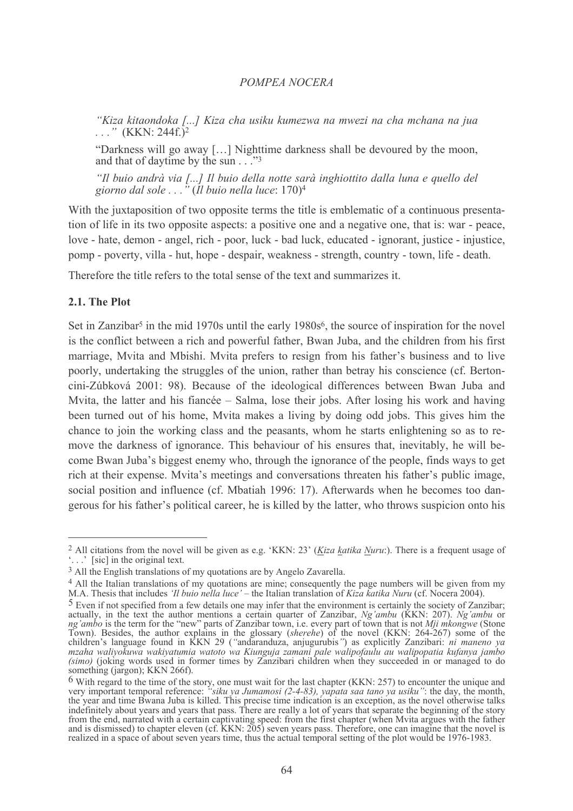"Kiza kitaondoka [...] Kiza cha usiku kumezwa na mwezi na cha mchana na jua  $\ldots$  " (KKN: 244f.)<sup>2</sup>

"Darkness will go away [...] Nighttime darkness shall be devoured by the moon, and that of daytime by the sun . . . "3

"Il buio andrà via [...] Il buio della notte sarà inghiottito dalla luna e quello del giorno dal sole  $\ldots$ <sup>"</sup> (Il buio nella luce: 170)<sup>4</sup>

With the juxtaposition of two opposite terms the title is emblematic of a continuous presentation of life in its two opposite aspects: a positive one and a negative one, that is: war - peace, love - hate, demon - angel, rich - poor, luck - bad luck, educated - ignorant, justice - injustice, pomp - poverty, villa - hut, hope - despair, weakness - strength, country - town, life - death.

Therefore the title refers to the total sense of the text and summarizes it.

### 2.1. The Plot

Set in Zanzibar<sup>5</sup> in the mid 1970s until the early 1980s<sup>6</sup>, the source of inspiration for the novel is the conflict between a rich and powerful father, Bwan Juba, and the children from his first marriage. Myita and Mbishi. Myita prefers to resign from his father's business and to live poorly, undertaking the struggles of the union, rather than betray his conscience (cf. Bertoncini-Zúbková 2001: 98). Because of the ideological differences between Bwan Juba and Mvita, the latter and his fiancée – Salma, lose their jobs. After losing his work and having been turned out of his home, Mvita makes a living by doing odd jobs. This gives him the chance to join the working class and the peasants, whom he starts enlightening so as to remove the darkness of ignorance. This behaviour of his ensures that, inevitably, he will become Bwan Juba's biggest enemy who, through the ignorance of the people, finds ways to get rich at their expense. Mvita's meetings and conversations threaten his father's public image, social position and influence (cf. Mbatiah 1996: 17). Afterwards when he becomes too dangerous for his father's political career, he is killed by the latter, who throws suspicion onto his

<sup>&</sup>lt;sup>2</sup> All citations from the novel will be given as e.g. 'KKN: 23' (Kiza katika Nuru:). There is a frequent usage of  $\therefore$  [sic] in the original text.

<sup>&</sup>lt;sup>3</sup> All the English translations of my quotations are by Angelo Zavarella.

<sup>&</sup>lt;sup>4</sup> All the Italian translations of my quotations are mine; consequently the page numbers will be given from my M.A. Thesis that includes 'Il buio nella luce' – the Italian translation of Kiza katika Nuru (cf. Nocera 2004).

<sup>&</sup>lt;sup>5</sup> Even if not specified from a few details one may infer that the environment is certainly the society of Zanzibar; Figure 11 not specified from a few details one may infer that the environment is certainly the society of Zanzibar;<br>actually, in the text the author mentions a certain quarter of Zanzibar, Ng'ambu (KKN: 207). Ng'ambu or<br>n something (jargon): KKN 266f).

<sup>&</sup>lt;sup>6</sup> With regard to the time of the story, one must wait for the last chapter (KKN: 257) to encounter the unique and very important temporal reference: "*siku ya Jumamosi* (2-4-83), *yapata saa tano ya usiku*": the day, th from the end, narrated with a certain captivating speed: from the first chapter (when Mvita argues with the father<br>and is dismissed) to chapter eleven (cf. KKN: 205) seven years pass. Therefore, one can imagine that the no realized in a space of about seven years time, thus the actual temporal setting of the plot would be 1976-1983.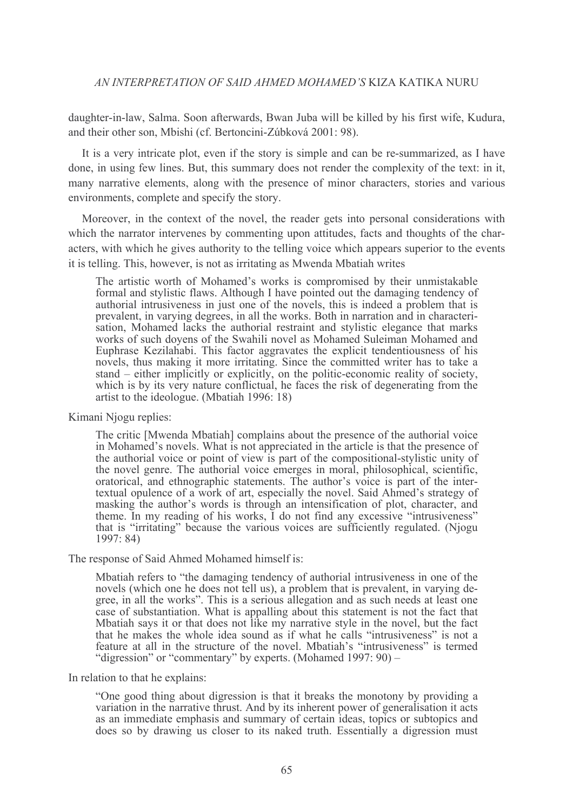daughter-in-law, Salma. Soon afterwards, Bwan Juba will be killed by his first wife, Kudura, and their other son. Mbishi (cf. Bertoncini-Zúbková 2001: 98).

It is a very intricate plot, even if the story is simple and can be re-summarized, as I have done, in using few lines. But, this summary does not render the complexity of the text: in it, many narrative elements, along with the presence of minor characters, stories and various environments, complete and specify the story.

Moreover, in the context of the novel, the reader gets into personal considerations with which the narrator intervenes by commenting upon attitudes, facts and thoughts of the characters, with which he gives authority to the telling voice which appears superior to the events it is telling. This, however, is not as irritating as Mwenda Mbatiah writes

The artistic worth of Mohamed's works is compromised by their unmistakable formal and stylistic flaws. Although I have pointed out the damaging tendency of authorial intrusiveness in just one of the novels, this is indeed a problem that is prevalent, in varying degrees, in all the works. Both in narration and in characterisation, Mohamed lacks the authorial restraint and stylistic elegance that marks works of such doyens of the Swahili novel as Mohamed Suleiman Mohamed and Euphrase Kezilahabi. This factor aggravates the explicit tendentiousness of his novels, thus making it more irritating. Since the committed writer has to take a stand  $-$  either implicitly or explicitly, on the politic-economic reality of society, which is by its very nature conflictual, he faces the risk of degenerating from the artist to the ideologue. (Mbatiah 1996: 18)

Kimani Njogu replies:

The critic [Mwenda Mbatiah] complains about the presence of the authorial voice in Mohamed's novels. What is not appreciated in the article is that the presence of the authorial voice or point of view is part of the compositional-stylistic unity of the novel genre. The authorial voice emerges in moral, philosophical, scientific, oratorical, and ethnographic statements. The author's voice is part of the intertextual opulence of a work of art, especially the novel. Said Ahmed's strategy of masking the author's words is through an intensification of plot, character, and theme. In my reading of his works, I do not find any excessive "intrusiveness" that is "irritating" because the various voices are sufficiently regulated. (Njogu  $1997: 84$ 

The response of Said Ahmed Mohamed himself is:

Mbatiah refers to "the damaging tendency of authorial intrusiveness in one of the novels (which one he does not tell us), a problem that is prevalent, in varying degree, in all the works". This is a serious allegation and as such needs at least one<br>case of substantiation. What is appalling about this statement is not the fact that Mbatiah says it or that does not like my narrative style in the novel, but the fact that he makes the whole idea sound as if what he calls "intrusiveness" is not a feature at all in the structure of the novel. Mbatiah's "intrusiveness" is termed "digression" or "commentary" by experts. (Mohamed 1997: 90) –

In relation to that he explains:

"One good thing about digression is that it breaks the monotony by providing a variation in the narrative thrust. And by its inherent power of generalisation it acts as an immediate emphasis and summary of certain ideas, topics or subtopics and does so by drawing us closer to its naked truth. Essentially a digression must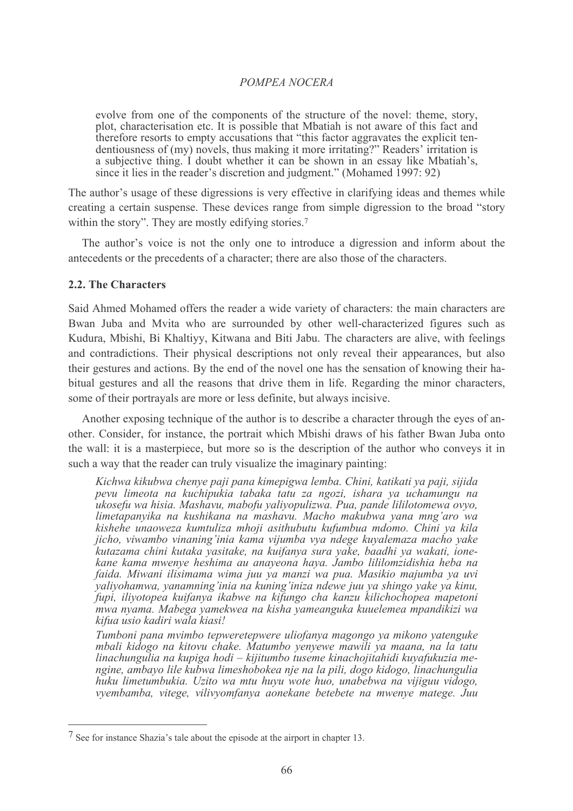evolve from one of the components of the structure of the novel: theme, story, plot, characterisation etc. It is possible that Mbatiah is not aware of this fact and therefore resorts to empty accusations that "this factor aggravates the explicit tendentiousness of (my) novels, thus making it more irritating?" Readers' irritation is a subjective thing. I doubt whether it can be shown in an essay like Mbatiah's, since it lies in the reader's discretion and judgment." (Mohamed 1997: 92)

The author's usage of these digressions is very effective in clarifying ideas and themes while creating a certain suspense. These devices range from simple digression to the broad "story" within the story". They are mostly edifying stories.<sup>7</sup>

The author's voice is not the only one to introduce a digression and inform about the antecedents or the precedents of a character; there are also those of the characters.

## 2.2. The Characters

Said Ahmed Mohamed offers the reader a wide variety of characters: the main characters are Bwan Juba and Myita who are surrounded by other well-characterized figures such as Kudura, Mbishi, Bi Khaltiyy, Kitwana and Biti Jabu. The characters are alive, with feelings and contradictions. Their physical descriptions not only reveal their appearances, but also their gestures and actions. By the end of the novel one has the sensation of knowing their habitual gestures and all the reasons that drive them in life. Regarding the minor characters, some of their portrayals are more or less definite, but always incisive.

Another exposing technique of the author is to describe a character through the eves of another. Consider, for instance, the portrait which Mbishi draws of his father Bwan Juba onto the wall: it is a masterpiece, but more so is the description of the author who conveys it in such a way that the reader can truly visualize the imaginary painting:

Kichwa kikubwa chenye paji pana kimepigwa lemba. Chini, katikati ya paji, sijida pevu limeota na kuchipukia tabaka tatu za ngozi, ishara ya uchamungu na ukosefu wa hisia. Mashavu, mabofu yaliyopulizwa. Pua, pande lililotomewa ovyo, limetapanyika na kushikana na mashavu. Macho makubwa yana mng'aro wa kishehe unaoweza kumtuliza mhoji asithubutu kufumbua mdomo. Chini ya kila jicho, viwambo vinaning'inia kama vijumba vya ndege kuyalemaza macho yake kutazama chini kutaka yasitake, na kuifanya sura yake, baadhi ya wakati, ionekane kama mwenye heshima au anayeona haya. Jambo lililomzidishia heba na faida. Miwani ilisimama wima juu ya manzi wa pua. Masikio majumba ya uvi valivohamwa, vanamning'inia na kuning'iniza ndewe juu va shingo vake va kinu, fupi, iliyotopea kuifanya ikabwe na kifungo cha kanzu kilichochopea mapetoni mwa nyama. Mabega yamekwea na kisha yameanguka kuuelemea mpandikizi wa kifua usio kadiri wala kiasi!

Tumboni pana mvimbo tepweretepwere uliofanya magongo ya mikono vatenguke mbali kidogo na kitovu chake. Matumbo yenyewe mawili ya maana, na la tatu linachungulia na kupiga hodi – kijitumbo tuseme kinachojitahidi kuyafukuzia mengine, ambavo lile kubwa limeshobokea nie na la pili, dogo kidogo, linachungulia huku limetumbukia. Uzito wa mtu huvu wote huo, unabebwa na vijiguu vidogo, vyembamba, vitege, vilivyomfanya aonekane betebete na mwenye matege. Juu

<sup>7</sup> See for instance Shazia's tale about the episode at the airport in chapter 13.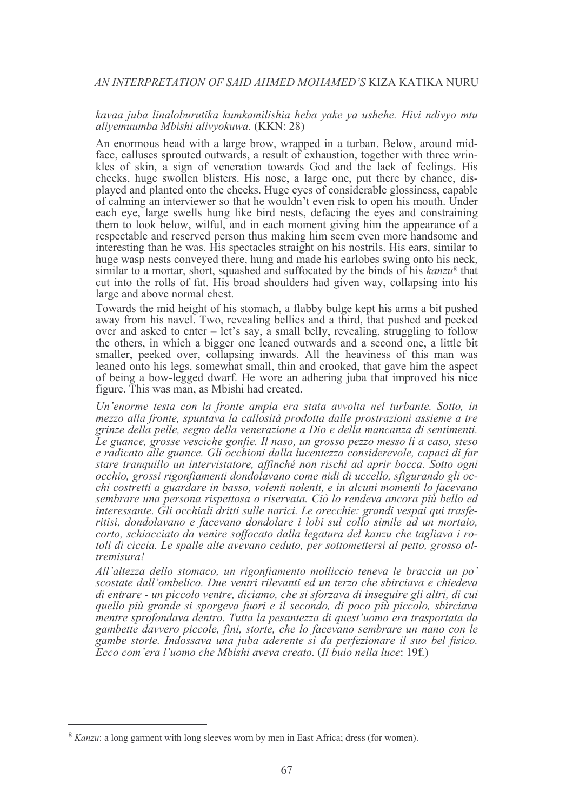#### kavaa juba linaloburutika kumkamilishia heba yake ya ushehe. Hivi ndivyo mtu aliyemuumba Mbishi alivyokuwa. (KKN: 28)

An enormous head with a large brow, wrapped in a turban. Below, around midface, calluses sprouted outwards, a result of exhaustion, together with three wrinkles of skin, a sign of veneration towards God and the lack of feelings. His cheeks, huge swollen blisters. His nose, a large one, put there by chance, displayed and planted onto the cheeks. Huge eyes of considerable glossiness, capable of calming an interviewer so that he wouldn't even risk to open his mouth. Under each eve, large swells hung like bird nests, defacing the eves and constraining them to look below, wilful, and in each moment giving him the appearance of a respectable and reserved person thus making him seem even more handsome and interesting than he was. His spectacles straight on his nostrils. His ears, similar to huge wasp nests conveyed there, hung and made his earlobes swing onto his neck, similar to a mortar, short, squashed and suffocated by the binds of his kanzu<sup>8</sup> that cut into the rolls of fat. His broad shoulders had given way, collapsing into his large and above normal chest.

Towards the mid height of his stomach, a flabby bulge kept his arms a bit pushed away from his navel. Two, revealing bellies and a third, that pushed and peeked over and asked to enter – let's say, a small belly, revealing, struggling to follow the others, in which a bigger one leaned outwards and a second one, a little bit smaller, peeked over, collapsing inwards. All the heaviness of this man was leaned onto his legs, somewhat small, thin and crooked, that gave him the aspect of being a bow-legged dwarf. He wore an adhering juba that improved his nice figure. This was man, as Mbishi had created.

Un'enorme testa con la fronte ampia era stata avvolta nel turbante. Sotto, in mezzo alla fronte, spuntava la callosità prodotta dalle prostrazioni assieme a tre grinze della pelle, segno della venerazione a Dio e della mancanza di sentimenti. Le guance, grosse vesciche gonfie. Il naso, un grosso pezzo messo lì a caso, steso e radicato alle guance. Gli occhioni dalla lucentezza considerevole, capaci di far stare tranquillo un intervistatore, affinché non rischi ad aprir bocca. Sotto ogni occhio, grossi rigonfiamenti dondolavano come nidi di uccello, sfigurando gli occhi costretti a guardare in basso, volenti nolenti, e in alcuni momenti lo facevano sembrare una persona rispettosa o riservata. Ciò lo rendeva ancora più bello ed interessante. Gli occhiali dritti sulle narici. Le orecchie: grandi vespai qui trasferitisi, dondolavano e facevano dondolare i lobi sul collo simile ad un mortaio, corto, schiacciato da venire soffocato dalla legatura del kanzu che tagliava i rotoli di ciccia. Le spalle alte avevano ceduto, per sottomettersi al petto, grosso oltremisura!

All'altezza dello stomaco, un rigonfiamento molliccio teneva le braccia un po' scostate dall'ombelico. Due ventri rilevanti ed un terzo che sbirciava e chiedeva di entrare - un piccolo ventre, diciamo, che si sforzava di inseguire gli altri, di cui quello più grande si sporgeva fuori e il secondo, di poco più piccolo, sbirciava mentre sprofondava dentro. Tutta la pesantezza di quest'uomo era trasportata da gambette dayvero piccole, fini, storte, che lo facevano sembrare un nano con le gambe storte. Indossava una juba aderente sì da perfezionare il suo bel fisico. Ecco com'era l'uomo che Mbishi aveva creato. (Il buio nella luce: 19f.)

<sup>&</sup>lt;sup>8</sup> Kanzu: a long garment with long sleeves worn by men in East Africa; dress (for women).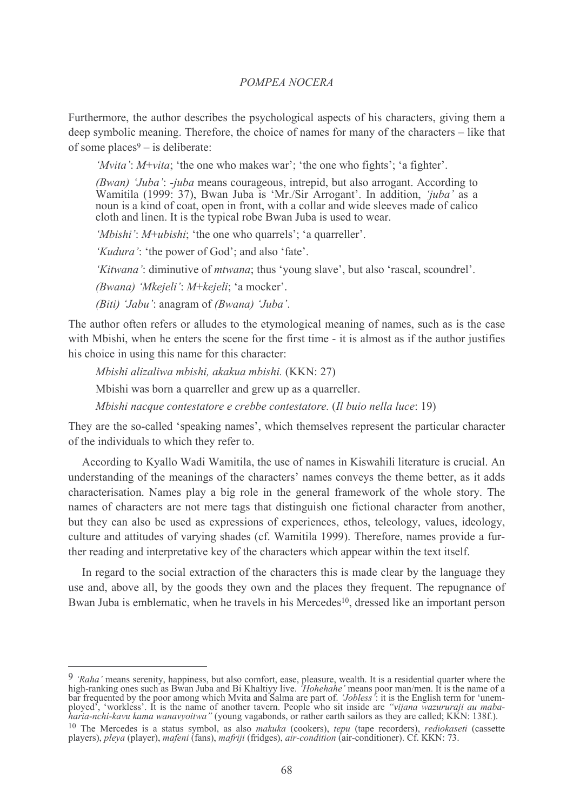Furthermore, the author describes the psychological aspects of his characters, giving them a deep symbolic meaning. Therefore, the choice of names for many of the characters – like that of some places<sup>9</sup> – is deliberate:

'*Mvita'*: *M*+*vita*; 'the one who makes war'; 'the one who fights'; 'a fighter'.

(Bwan) 'Juba': -juba means courageous, intrepid, but also arrogant. According to Wamitila (1999: 37), Bwan Juba is 'Mr./Sir Arrogant'. In addition, 'juba' as a noun is a kind of coat, open in front, with a collar and wide sleeves made of calico cloth and linen. It is the typical robe Bwan Juba is used to wear.

'Mbishi': M+ubishi; 'the one who quarrels'; 'a quarreller'.

'Kudura': 'the power of God'; and also 'fate'.

'Kitwana': diminutive of *mtwana*; thus 'voung slave', but also 'rascal, scoundrel'.

(Bwana) 'Mkejeli': M+kejeli; 'a mocker'.

(Biti) 'Jabu': anagram of (Bwana) 'Juba'.

The author often refers or alludes to the etymological meaning of names, such as is the case with Mbishi, when he enters the scene for the first time - it is almost as if the author justifies his choice in using this name for this character.

Mbishi alizaliwa mbishi, akakua mbishi. (KKN: 27)

Mbishi was born a quarreller and grew up as a quarreller.

Mbishi nacque contestatore e crebbe contestatore. (Il buio nella luce: 19)

They are the so-called 'speaking names', which themselves represent the particular character of the individuals to which they refer to.

According to Kyallo Wadi Wamitila, the use of names in Kiswahili literature is crucial. An understanding of the meanings of the characters' names conveys the theme better, as it adds characterisation. Names play a big role in the general framework of the whole story. The names of characters are not mere tags that distinguish one fictional character from another, but they can also be used as expressions of experiences, ethos, teleology, values, ideology, culture and attitudes of varying shades (cf. Wamitila 1999). Therefore, names provide a further reading and interpretative key of the characters which appear within the text itself.

In regard to the social extraction of the characters this is made clear by the language they use and, above all, by the goods they own and the places they frequent. The repugnance of Bwan Juba is emblematic, when he travels in his Mercedes<sup>10</sup>, dressed like an important person

<sup>9</sup> 'Raha' means serenity, happiness, but also comfort, ease, pleasure, wealth. It is a residential quarter where the high-ranking ones such as Bwan Juba and Bi Khaltiyy live. 'Hohehahe' means poor man/men. It is the name

<sup>&</sup>lt;sup>10</sup> The Mercedes is a status symbol, as also makuka (cookers), tepu (tape recorders), rediokaseti (cassette players), pleya (player), mafeni (fans), mafriji (fridges), air-condition (air-conditioner). Cf. KKN: 73.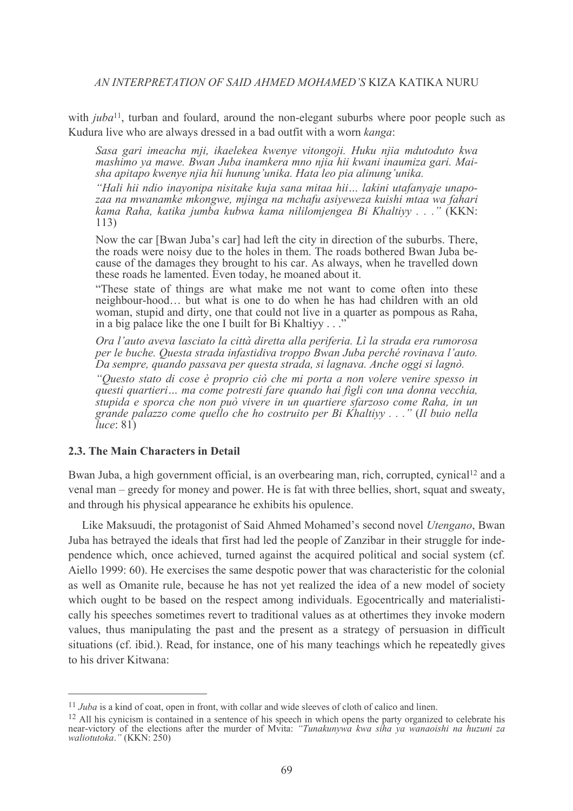with  $\mu b a^{11}$ , turban and foulard, around the non-elegant suburbs where poor people such as Kudura live who are always dressed in a bad outfit with a worn kanga:

Sasa gari imeacha mii, ikaelekea kwenye vitongoji. Huku nija mdutoduto kwa mashimo ya mawe. Bwan Juba inamkera mno nija hii kwani inaumiza gari. Maisha apitapo kwenye njia hii hunung'unika. Hata leo pia alinung'unika.

"Hali hii ndio inavonipa nisitake kuja sana mitaa hii... lakini utafanyaje unapozaa na mwanamke mkongwe, miinga na mchafu asiyeweza kuishi mtaa wa fahari kama Raha, katika jumba kubwa kama nililomjengea Bi Khaltivy . . ." (KKN:  $113)$ 

Now the car [Bwan Juba's car] had left the city in direction of the suburbs. There, the roads were noisy due to the holes in them. The roads bothered Bwan Juba because of the damages they brought to his car. As always, when he travelled down these roads he lamented. Even today, he moaned about it.

"These state of things are what make me not want to come often into these neighbour-hood... but what is one to do when he has had children with an old woman, stupid and dirty, one that could not live in a quarter as pompous as Raha, in a big palace like the one I built for Bi Khaltiyy...

Ora l'auto aveva lasciato la città diretta alla periferia. Lì la strada era rumorosa per le buche. Questa strada infastidiva troppo Bwan Juba perché rovinava l'auto. Da sempre, quando passava per questa strada, si lagnava. Anche oggi si lagnò.

"Questo stato di cose è proprio ciò che mi porta a non volere venire spesso in questi quartieri... ma come potresti fare quando hai figli con una donna vecchia, stupida e sporca che non può vivere in un quartiere sfarzoso come Raha, in un grande palazzo come quello che ho costruito per Bi Khaltiyy . . ." (Il buio nella  $luce: 81)$ 

## 2.3. The Main Characters in Detail

Bwan Juba, a high government official, is an overbearing man, rich, corrupted, cynical<sup>12</sup> and a venal man – greedy for money and power. He is fat with three bellies, short, squat and sweaty, and through his physical appearance he exhibits his opulence.

Like Maksuudi, the protagonist of Said Ahmed Mohamed's second novel *Utengano*, Bwan Juba has betrayed the ideals that first had led the people of Zanzibar in their struggle for independence which, once achieved, turned against the acquired political and social system (cf. Aiello 1999: 60). He exercises the same despotic power that was characteristic for the colonial as well as Omanite rule, because he has not vet realized the idea of a new model of society which ought to be based on the respect among individuals. Egocentrically and materialistically his speeches sometimes revert to traditional values as at othertimes they invoke modern values, thus manipulating the past and the present as a strategy of persuasion in difficult situations (cf. ibid.). Read, for instance, one of his many teachings which he repeatedly gives to his driver Kitwana:

 $11$  Juba is a kind of coat, open in front, with collar and wide sleeves of cloth of calico and linen.

<sup>&</sup>lt;sup>12</sup> All his cynicism is contained in a sentence of his speech in which opens the party organized to celebrate his the associated to contained in a sentence of ms speech in which opens the party organized to cerebrate his<br>near-victory of the elections after the murder of Mvita: "Tunakunywa kwa siha ya wanaoishi na huzuni za<br>waliotutoka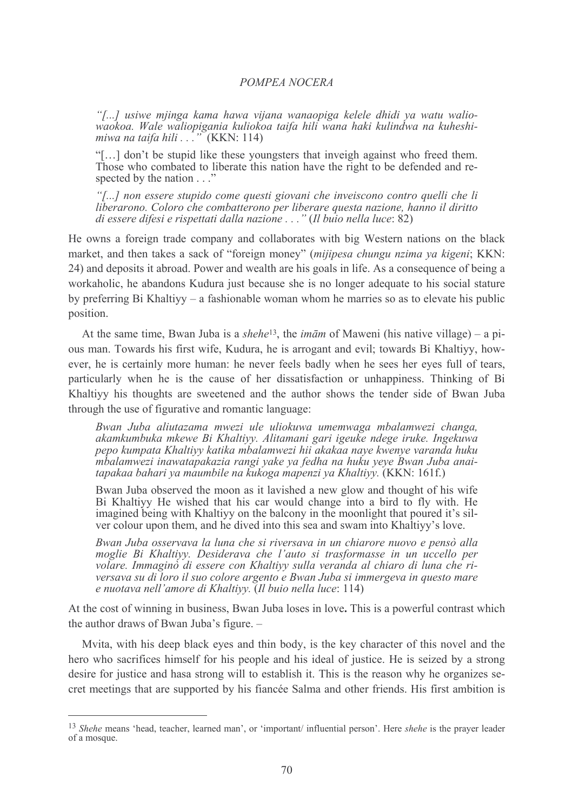"[...] usiwe mjinga kama hawa vijana wanaopiga kelele dhidi ya watu waliowaokoa. Wale waliopigania kuliokoa taifa hili wana haki kulindwa na kuheshimiwa na taifa hili  $\ldots$ " (KKN: 114)

"[...] don't be stupid like these youngsters that inveigh against who freed them. Those who combated to liberate this nation have the right to be defended and respected by the nation . . ."

"[...] non essere stupido come questi giovani che inveiscono contro quelli che li liberarono. Coloro che combatterono per liberare questa nazione, hanno il diritto di essere difesi e rispettati dalla nazione  $\ldots$ " (Il buio nella luce: 82)

He owns a foreign trade company and collaborates with big Western nations on the black market, and then takes a sack of "foreign money" (mijipesa chungu nzima ya kigeni; KKN: 24) and deposits it abroad. Power and wealth are his goals in life. As a consequence of being a workaholic, he abandons Kudura just because she is no longer adequate to his social stature by preferring Bi Khaltiyy – a fashionable woman whom he marries so as to elevate his public position.

At the same time, Bwan Juba is a *shehe*<sup>13</sup>, the *imam* of Maweni (his native village) – a pious man. Towards his first wife, Kudura, he is arrogant and evil; towards Bi Khaltiyy, however, he is certainly more human; he never feels badly when he sees her eves full of tears. particularly when he is the cause of her dissatisfaction or unhappiness. Thinking of Bi Khaltiyy his thoughts are sweetened and the author shows the tender side of Bwan Juba through the use of figurative and romantic language:

Bwan Juba aliutazama mwezi ule uliokuwa umemwaga mbalamwezi changa, akamkumbuka mkewe Bi Khaltiyy. Alitamani gari igeuke ndege iruke. Ingekuwa pepo kumpata Khaltivy katika mbalamwezi hii akakaa naye kwenye yaranda huku mbalamwezi inawatapakazia rangi yake ya fedha na huku yeye Bwan Juba anaitapakaa bahari ya maumbile na kukoga mapenzi ya Khaltiyy. (KKN: 161f.)

Bwan Juba observed the moon as it lavished a new glow and thought of his wife Bi Khaltiyy He wished that his car would change into a bird to fly with. He imagined being with Khaltiyy on the balcony in the moonlight that poured it's silver colour upon them, and he dived into this sea and swam into Khaltivy's love.

Bwan Juba osservava la luna che si riversava in un chiarore nuovo e pensò alla moglie Bi Khaltivy. Desiderava che l'auto si trasformasse in un uccello per volare. Immaginò di essere con Khaltivy sulla veranda al chiaro di luna che riversava su di loro il suo colore argento e Bwan Juba si immergeva in questo mare e nuotava nell'amore di Khaltiyy. (Il buio nella luce: 114)

At the cost of winning in business, Bwan Juba loses in love. This is a powerful contrast which the author draws of Bwan Juba's figure. -

Mvita, with his deep black eyes and thin body, is the key character of this novel and the hero who sacrifices himself for his people and his ideal of justice. He is seized by a strong desire for justice and hasa strong will to establish it. This is the reason why he organizes secret meetings that are supported by his fiancée Salma and other friends. His first ambition is

<sup>&</sup>lt;sup>13</sup> Shehe means 'head, teacher, learned man', or 'important/ influential person'. Here *shehe* is the prayer leader of a mosque.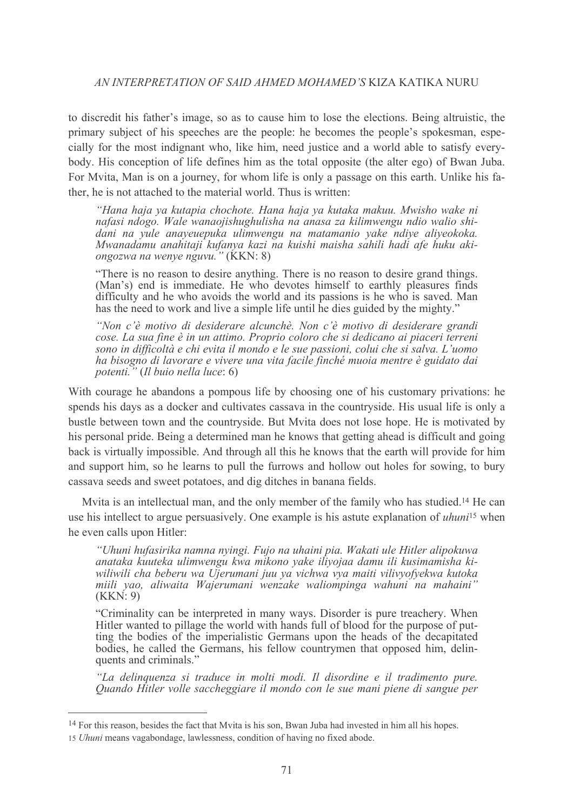to discredit his father's image, so as to cause him to lose the elections. Being altruistic, the primary subject of his speeches are the people: he becomes the people's spokesman, especially for the most indignant who, like him, need justice and a world able to satisfy everybody. His conception of life defines him as the total opposite (the alter ego) of Bwan Juba. For Myita, Man is on a journey, for whom life is only a passage on this earth. Unlike his father, he is not attached to the material world. Thus is written:

"Hana haja ya kutapia chochote. Hana haja ya kutaka makuu. Mwisho wake ni nafasi ndogo. Wale wanaojishughulisha na anasa za kilimwengu ndio walio shidani na yule anayeuepuka ulimwengu na matamanio yake ndiye aliyeokoka. Mwanadamu anahitaji kufanya kazi na kuishi maisha sahili hadi afe huku akiongozwa na wenye nguvu." (KKN: 8)

"There is no reason to desire anything. There is no reason to desire grand things. (Man's) end is immediate. He who devotes himself to earthly pleasures finds difficulty and he who avoids the world and its passions is he who is saved. Man has the need to work and live a simple life until he dies guided by the mighty."

"Non c'è motivo di desiderare alcunchè. Non c'è motivo di desiderare grandi cose. La sua fine è in un attimo. Proprio coloro che si dedicano ai piaceri terreni sono in difficoltà e chi evita il mondo e le sue passioni, colui che si salva. L'uomo ha bisogno di lavorare e vivere una vita facile finché muoia mentre è guidato dai potenti." (Il buio nella luce: 6)

With courage he abandons a pompous life by choosing one of his customary privations: he spends his days as a docker and cultivates cassava in the countryside. His usual life is only a bustle between town and the countryside. But Myita does not lose hope. He is motivated by his personal pride. Being a determined man he knows that getting ahead is difficult and going back is virtually impossible. And through all this he knows that the earth will provide for him and support him, so he learns to pull the furrows and hollow out holes for sowing, to bury cassava seeds and sweet potatoes, and dig ditches in banana fields.

Myita is an intellectual man, and the only member of the family who has studied.<sup>14</sup> He can use his intellect to argue persuasively. One example is his astute explanation of *uhuni*<sup>15</sup> when he even calls upon Hitler:

"Uhuni hufasirika namna nyingi. Fujo na uhaini pia. Wakati ule Hitler alipokuwa anataka kuuteka ulimwengu kwa mikono yake iliyojaa damu ili kusimamisha kiwiliwili cha beberu wa Ujerumani juu ya vichwa vya maiti vilivyofyekwa kutoka miili vao, aliwaita Wajerumani wenzake waliompinga wahuni na mahaini"  $(KKN:9)$ 

"Criminality can be interpreted in many ways. Disorder is pure treachery. When Hitler wanted to pillage the world with hands full of blood for the purpose of putting the bodies of the imperialistic Germans upon the heads of the decapitated bodies, he called the Germans, his fellow countrymen that opposed him, delinquents and criminals."

"La delinquenza si traduce in molti modi. Il disordine e il tradimento pure. Quando Hitler volle saccheggiare il mondo con le sue mani piene di sangue per

<sup>&</sup>lt;sup>14</sup> For this reason, besides the fact that Myita is his son, Bwan Juba had invested in him all his hopes.

<sup>15</sup> Uhuni means vagabondage, lawlessness, condition of having no fixed abode.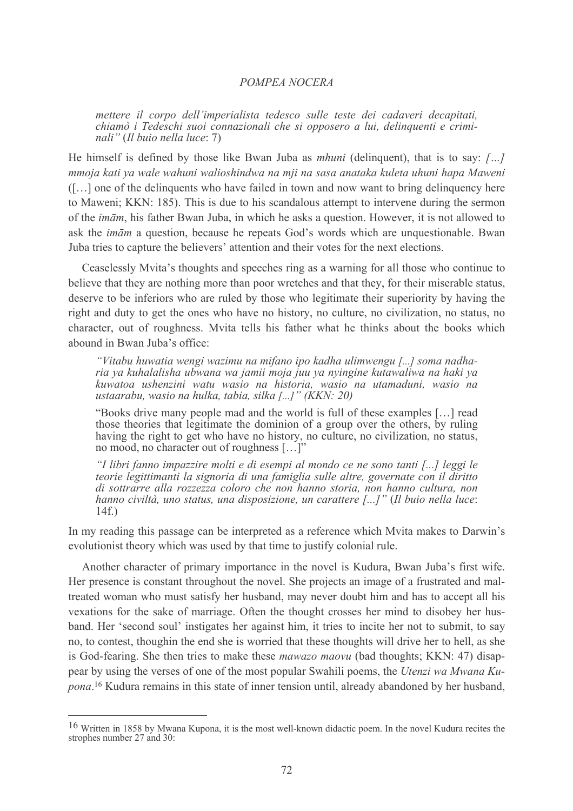mettere il corpo dell'imperialista tedesco sulle teste dei cadaveri decapitati, chiamò i Tedeschi suoi connazionali che si opposero a lui, delinquenti e criminali" (Il buio nella luce: 7)

He himself is defined by those like Bwan Juba as *mhuni* (delinquent), that is to say: [...] mmoja kati ya wale wahuni walioshindwa na mji na sasa anataka kuleta uhuni hapa Maweni ([...] one of the delinguents who have failed in town and now want to bring delinguency here to Maweni; KKN: 185). This is due to his scandalous attempt to intervene during the sermon of the *imām*, his father Bwan Juba, in which he asks a question. However, it is not allowed to ask the *imam* a question, because he repeats God's words which are unquestionable. Bwan Juba tries to capture the believers' attention and their votes for the next elections.

Ceaselessly Mvita's thoughts and speeches ring as a warning for all those who continue to believe that they are nothing more than poor wretches and that they, for their miserable status, deserve to be inferiors who are ruled by those who legitimate their superiority by having the right and duty to get the ones who have no history, no culture, no civilization, no status, no character, out of roughness. Mvita tells his father what he thinks about the books which abound in Bwan Juba's office:

"Vitabu huwatia wengi wazimu na mifano ipo kadha ulimwengu [...] soma nadharia ya kuhalalisha ubwana wa jamii moja juu ya nyingine kutawaliwa na haki ya kuwatoa ushenzini watu wasio na historia, wasio na utamaduni, wasio na ustaarabu, wasio na hulka, tabia, silka [...]" (KKN: 20)

"Books drive many people mad and the world is full of these examples [...] read those theories that legitimate the dominion of a group over the others, by ruling having the right to get who have no history, no culture, no civilization, no status, no mood, no character out of roughness [...]"

"I libri fanno impazzire molti e di esempi al mondo ce ne sono tanti [...] leggi le teorie legittimanti la signoria di una famiglia sulle altre, governate con il diritto di sottrarre alla rozzezza coloro che non hanno storia, non hanno cultura, non hanno civiltà, uno status, una disposizione, un carattere [...]" (Il buio nella luce:  $14f)$ 

In my reading this passage can be interpreted as a reference which Mvita makes to Darwin's evolutionist theory which was used by that time to justify colonial rule.

Another character of primary importance in the novel is Kudura, Bwan Juba's first wife. Her presence is constant throughout the novel. She projects an image of a frustrated and maltreated woman who must satisfy her husband, may never doubt him and has to accept all his vexations for the sake of marriage. Often the thought crosses her mind to disobey her husband. Her 'second soul' instigates her against him, it tries to incite her not to submit, to say no, to contest, thoughin the end she is worried that these thoughts will drive her to hell, as she is God-fearing. She then tries to make these *mawazo maovu* (bad thoughts; KKN: 47) disappear by using the verses of one of the most popular Swahili poems, the *Utenzi wa Mwana Kupona*.<sup>16</sup> Kudura remains in this state of inner tension until, already abandoned by her husband,

<sup>16</sup> Written in 1858 by Mwana Kupona, it is the most well-known didactic poem. In the novel Kudura recites the strophes number 27 and 30: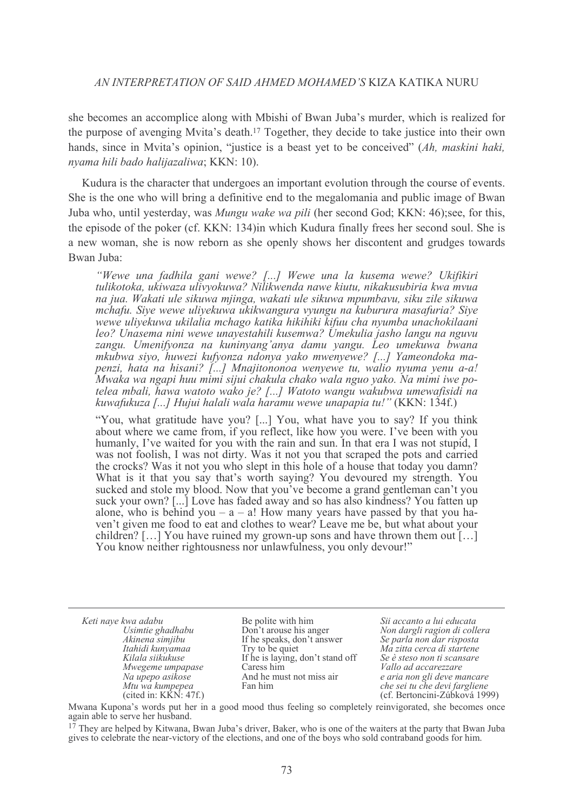she becomes an accomplice along with Mbishi of Bwan Juba's murder, which is realized for the purpose of avenging Myita's death.<sup>17</sup> Together, they decide to take justice into their own hands, since in Mvita's opinion, "justice is a beast yet to be conceived" (Ah, maskini haki, nyama hili bado halijazaliwa; KKN: 10).

Kudura is the character that undergoes an important evolution through the course of events. She is the one who will bring a definitive end to the megalomania and public image of Bwan Juba who, until yesterday, was *Mungu wake wa pili* (her second God; KKN; 46); see, for this, the episode of the poker (cf. KKN: 134) in which Kudura finally frees her second soul. She is a new woman, she is now reborn as she openly shows her discontent and grudges towards Bwan Juba:

"Wewe una fadhila gani wewe? [...] Wewe una la kusema wewe? Ukifikiri tulikotoka, ukiwaza ulivyokuwa? Nilikwenda nawe kiutu, nikakusubiria kwa mvua na jua. Wakati ule sikuwa mjinga, wakati ule sikuwa mpumbavu, siku zile sikuwa mchafu. Siye wewe uliyekuwa ukikwangura vyungu na kuburura masafuria? Siye wewe uliyekuwa ukilalia mchago katika hikihiki kifuu cha nyumba unachokilaani leo? Unasema nini wewe unavestahili kusemwa? Umekulia jasho langu na nguvu zangu. Umenifyonza na kuninyang'anya damu yangu. Leo umekuwa bwana mkubwa siyo, huwezi kufyonza ndonya yako mwenyewe? [...] Yameondoka mapenzi, hata na hisani? [...] Mnajitononoa wenyewe tu, walio nyuma yenu a-a! Mwaka wa ngapi huu mimi sijui chakula chako wala nguo yako. Na mimi iwe potelea mbali, hawa watoto wako je? [...] Watoto wangu wakubwa umewafisidi na kuwafukuza [...] Hujui halali wala haramu wewe unapapia tu!" (KKN: 134f.)

"You, what gratitude have you? [...] You, what have you to say? If you think about where we came from, if you reflect, like how you were. I've been with you humanly, I've waited for you with the rain and sun. In that era I was not stupid, I was not foolish, I was not dirty. Was it not you that scraped the pots and carried the crocks? Was it not you who slept in this hole of a house that today you damn? What is it that you say that's worth saying? You devoured my strength. You sucked and stole my blood. Now that you've become a grand gentleman can't you suck your own? [...] Love has faded away and so has also kindness? You fatten up alone, who is behind you  $- a - a!$  How many years have passed by that you haven't given me food to eat and clothes to wear? Leave me be, but what about your children? [...] You have ruined my grown-up sons and have thrown them out  $\lceil$ ...] You know neither rightousness nor unlawfulness, you only devour!"

Keti nave kwa adabu Usimtie ghadhabu Akinena simjibu Itahidi kunyamaa Kilala siikukuse Mwegeme umpapase Na upepo asikose Mtu wa kumpepea (cited in:  $K\bar{K}N$ : 47f.)

Be polite with him Don't arouse his anger If he speaks, don't answer Try to be quiet If he is laying, don't stand off Caress him And he must not miss air Fan him

Sii accanto a lui educata Non dargli ragion di collera Se parla non dar risposta Ma zitta cerca di startene Se è steso non ti scansare Vallo ad accarezzare e aria non gli deve mancare che sei tu che devi fargliene (cf. Bertoncini-Zúbková 1999)

Mwana Kupona's words put her in a good mood thus feeling so completely reinvigorated, she becomes once again able to serve her husband.

<sup>&</sup>lt;sup>17</sup> They are helped by Kitwana, Bwan Juba's driver, Baker, who is one of the waiters at the party that Bwan Juba gives to celebrate the near-victory of the elections, and one of the boys who sold contraband goods for him.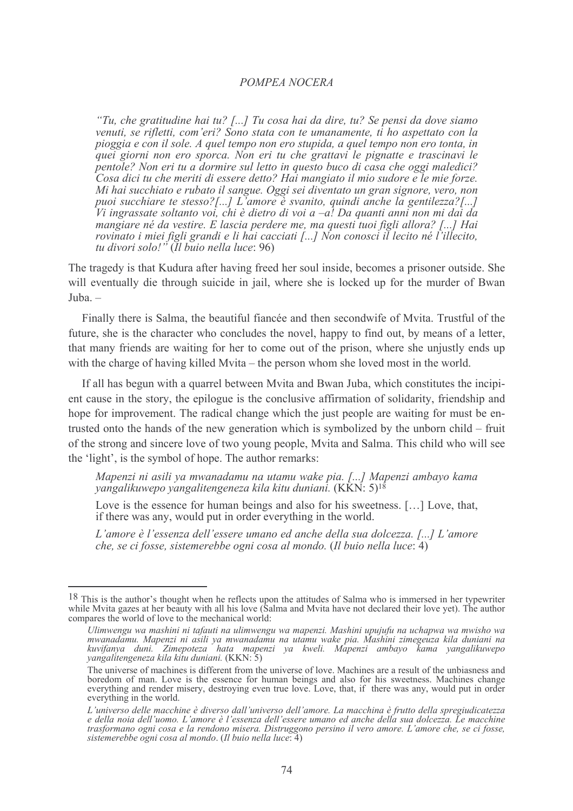"Tu, che gratitudine hai tu? [...] Tu cosa hai da dire, tu? Se pensi da dove siamo venuti, se rifletti, com'eri? Sono stata con te umanamente, ti ho aspettato con la pioggia e con il sole. A quel tempo non ero stupida, a quel tempo non ero tonta, in quei giorni non ero sporca. Non eri tu che grattavi le pignatte e trascinavi le pentole? Non eri tu a dormire sul letto in questo buco di casa che oggi maledici? Cosa dici tu che meriti di essere detto? Hai mangiato il mio sudore e le mie forze. Mi hai succhiato e rubato il sangue. Oggi sei diventato un gran signore, vero, non puoi succhiare te stesso?[...] L'amore è svanito, quindi anche la gentilezza?[...] Vi ingrassate soltanto voi, chi è dietro di voi a  $-a$ ! Da quanti anni non mi dai da mangiare né da vestire. E lascia perdere me, ma questi tuoi figli allora? [...] Hai rovinato i miei figli grandi e li hai cacciati [...] Non conosci il lecito né l'illecito, tu divori solo!" (Il buio nella luce: 96)

The tragedy is that Kudura after having freed her soul inside, becomes a prisoner outside. She will eventually die through suicide in jail, where she is locked up for the murder of Bwan Juba.-

Finally there is Salma, the beautiful fiancée and then secondwife of Myita. Trustful of the future, she is the character who concludes the novel, happy to find out, by means of a letter, that many friends are waiting for her to come out of the prison, where she unjustly ends up with the charge of having killed Mvita – the person whom she loved most in the world.

If all has begun with a quarrel between Mvita and Bwan Juba, which constitutes the incipient cause in the story, the epilogue is the conclusive affirmation of solidarity, friendship and hope for improvement. The radical change which the just people are waiting for must be entrusted onto the hands of the new generation which is symbolized by the unborn child – fruit of the strong and sincere love of two young people, Mvita and Salma. This child who will see the 'light', is the symbol of hope. The author remarks:

Mapenzi ni asili ya mwanadamu na utamu wake pia. [...] Mapenzi ambayo kama yangalikuwepo yangalitengeneza kila kitu duniani.  $(K\overline{K}N:5)^{18}$ 

Love is the essence for human beings and also for his sweetness. [...] Love, that, if there was any, would put in order everything in the world.

L'amore è l'essenza dell'essere umano ed anche della sua dolcezza. [...] L'amore che, se ci fosse, sistemerebbe ogni cosa al mondo. (Il buio nella luce:  $\overline{4}$ )

<sup>&</sup>lt;sup>18</sup> This is the author's thought when he reflects upon the attitudes of Salma who is immersed in her typewriter while Mvita gazes at her beauty with all his love (Salma and Mvita have not declared their love yet). The aut compares the world of love to the mechanical world:

Ulimwengu wa mashini ni tafauti na ulimwengu wa mapenzi. Mashini upujufu na uchapwa wa mwisho wa mwanadamu. Mapenzi ni asili ya mwanadamu na utamu wake pia. Mashini zimegeuza kila duniani na kuvifanya duni. Zimepoteza hata mapenzi ya kweli. Mapenzi ambayo kama yangalikuwepo<br>yangalitengeneza kila kitu duniani. (KKN: 5)

The universe of machines is different from the universe of love. Machines are a result of the unbiasness and boredom of man. Love is the essence for human beings and also for his sweetness. Machines change everything and render misery, destroying even true love. Love, that, if there was any, would put in order everything in the world.

L'universo delle macchine è diverso dall'universo dell'amore. La macchina è frutto della spregiudicatezza e della noia dell'uomo. L'amore è l'essenza dell'essere umano ed anche della sua dolcezza. Le macchine trasformano ogni cosa e la rendono misera. Distruggono persino il vero amore. L'amore che, se ci fosse, sistemerebbe ogni cosa al mondo. (Il buio nella luce: 4)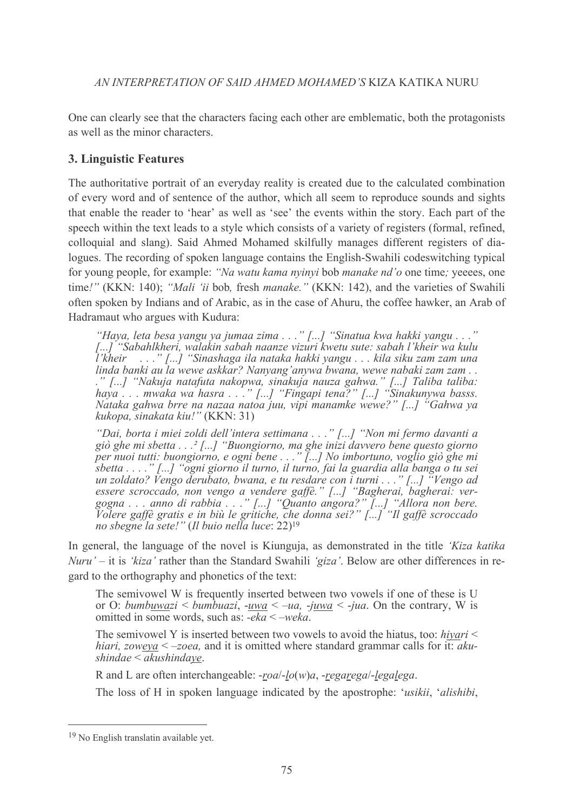One can clearly see that the characters facing each other are emblematic, both the protagonists as well as the minor characters

## **3. Linguistic Features**

The authoritative portrait of an everyday reality is created due to the calculated combination of every word and of sentence of the author, which all seem to reproduce sounds and sights that enable the reader to 'hear' as well as 'see' the events within the story. Each part of the speech within the text leads to a style which consists of a variety of registers (formal, refined, colloquial and slang). Said Ahmed Mohamed skilfully manages different registers of dialogues. The recording of spoken language contains the English-Swahili codeswitching typical for young people, for example: "Na watu kama nyinyi bob manake nd'o one time; yeeees, one time!" (KKN: 140); "Mali 'ii bob, fresh manake." (KKN: 142), and the varieties of Swahili often spoken by Indians and of Arabic, as in the case of Ahuru, the coffee hawker, an Arab of Hadramaut who argues with Kudura:

"Haya, leta besa yangu ya jumaa zima . . ." [...] "Sinatua kwa hakki yangu . . ."<br>[...] "Sabahlkheri, walakin sabah naanze vizuri kwetu sute: sabah l'kheir wa kulu i'kheir ...." [...] "Sinashaga ila nataka hakki yangu ... kila siku zam zam una linda banki au la wewe askkar? Nanyang'anywa bwana, wewe nabaki zam zam ... kukopa, sinakata kiu!" (KKN: 31)

"Dai, borta i miei zoldi dell'intera settimana . . ." [...] "Non mi fermo davanti a giò ghe mi sbetta  $\ldots$ ? [...] "Buongiorno, ma ghe inizi davvero bene questo giorno per nuoi tutti: buongiorno, e ogni bene  $\dots$ "[...] No imbortuno, voglio giò ghe mi per nuor tutti. buongtorno, e ogni bene : : . . [...] Wo thoortuno, vogtio gio gne mi<br>sbetta . . . ." [...] "ogni giorno il turno, il turno, fai la guardia alla banga o tu sei<br>un zoldato? Vengo derubato, bwana, e tu resdar no sbegne la sete!" (Il buio nella luce: 22)<sup>19</sup>

In general, the language of the novel is Kiunguja, as demonstrated in the title 'Kiza katika' Nuru' – it is 'kiza' rather than the Standard Swahili 'giza'. Below are other differences in regard to the orthography and phonetics of the text:

The semivowel W is frequently inserted between two vowels if one of these is U or O: bumbuwazi < bumbuazi, -uwa < -ua, -juwa < -jua. On the contrary, W is omitted in some words, such as:  $-eka < -weka$ .

The semivowel Y is inserted between two vowels to avoid the hiatus, too:  $hivari \leq$ *hiari, zoweya*  $\leq$  -zoea, and it is omitted where standard grammar calls for it: aku $shindae < a$ kushindaye.

R and L are often interchangeable:  $\text{-}road - \text{lo}(w)a$ ,  $\text{-}regare \text{g}a\text{-}legale \text{g}a$ .

The loss of H in spoken language indicated by the apostrophe: 'usikii, 'alishibi,

<sup>&</sup>lt;sup>19</sup> No English translatin available yet.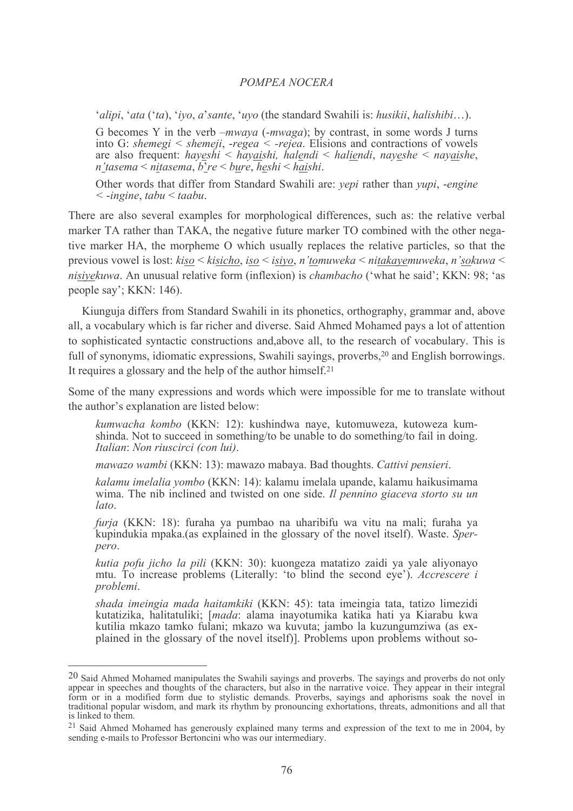'alipi, 'ata ('ta), 'ivo, a' sante, 'uvo (the standard Swahili is: husikii, halishibi...).

G becomes Y in the verb  $-mwaya$  (- $mwaga$ ); by contrast, in some words J turns into G: shemegi  $\leq$  shemeji, -regea  $\leq$  -rejea. Elisions and contractions of vowels are also frequent: hayeshi < hayaishi, halendi < haliendi, nayeshe < nayaishe,  $n$ 'tasema < nitasema,  $\overline{b}$ 're < bure, heshi < haishi,

Other words that differ from Standard Swahili are: yepi rather than yupi, -engine  $\leq$ -ingine, tabu  $\leq$  taabu.

There are also several examples for morphological differences, such as: the relative verbal marker TA rather than TAKA, the negative future marker TO combined with the other negative marker HA, the morpheme O which usually replaces the relative particles, so that the previous vowel is lost:  $kiso \leq kisicho$ , iso  $\leq isivo$ , n'tomuweka  $\leq n$ itakayemuweka, n'sokuwa  $\leq$ nisiyekuwa. An unusual relative form (inflexion) is *chambacho* ('what he said'; KKN: 98; 'as people say'; KKN: 146).

Kiunguja differs from Standard Swahili in its phonetics, orthography, grammar and, above all, a vocabulary which is far richer and diverse. Said Ahmed Mohamed pays a lot of attention to sophisticated syntactic constructions and, above all, to the research of vocabulary. This is full of synonyms, idiomatic expressions, Swahili sayings, proverbs,<sup>20</sup> and English borrowings. It requires a glossary and the help of the author himself.<sup>21</sup>

Some of the many expressions and words which were impossible for me to translate without the author's explanation are listed below:

kumwacha kombo (KKN: 12): kushindwa naye, kutomuweza, kutoweza kumshinda. Not to succeed in something/to be unable to do something/to fail in doing. Italian: Non riuscirci (con lui).

mawazo wambi (KKN: 13): mawazo mabaya. Bad thoughts. Cattivi pensieri.

kalamu imelalia yombo (KKN: 14): kalamu imelala upande, kalamu haikusimama wima. The nib inclined and twisted on one side. Il pennino giaceva storto su un lato.

furja (KKN: 18): furaha ya pumbao na uharibifu wa vitu na mali; furaha ya kupindukia mpaka (as explained in the glossary of the novel itself). Waste, Sperpero.

kutia pofu jicho la pili (KKN: 30): kuongeza matatizo zaidi ya yale aliyonayo mtu. To increase problems (Literally: 'to blind the second eye'). Accrescere i *problemi*.

shada imeingia mada haitamkiki (KKN: 45): tata imeingia tata, tatizo limezidi kutatizika, halitatuliki; [mada: alama inayotumika katika hati ya Kiarabu kwa kutilia mkazo tamko fulani; mkazo wa kuvuta; jambo la kuzungumziwa (as explained in the glossary of the novel itself). Problems upon problems without so-

 $20$  Said Ahmed Mohamed manipulates the Swahili sayings and proverbs. The sayings and proverbs do not only and Affined Monamed mampulates the Swamin sayings and proverbs. The sayings and proverbs do not only appear in speeches and thoughts of the characters, but also in the narrative voice. They appear in their integral form or is linked to them.

<sup>&</sup>lt;sup>21</sup> Said Ahmed Mohamed has generously explained many terms and expression of the text to me in 2004, by sending e-mails to Professor Bertoncini who was our intermediary.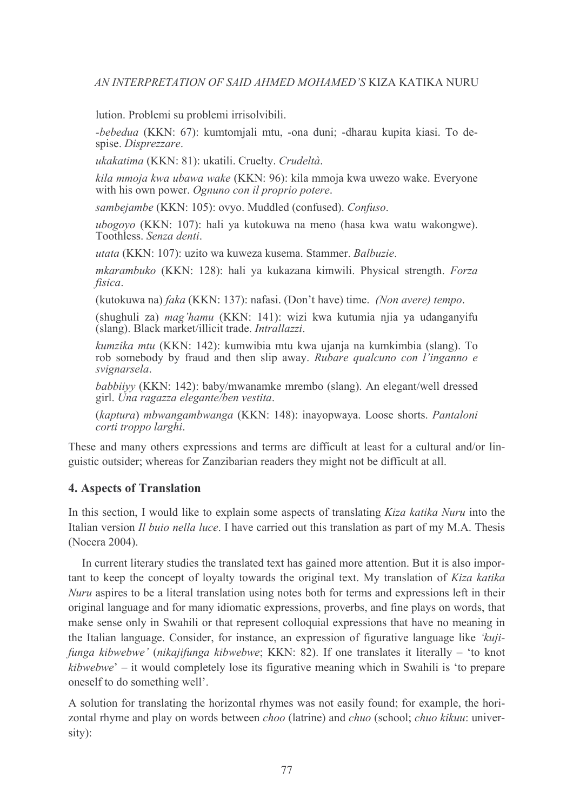lution. Problemi su problemi irrisolvibili.

-bebedua (KKN: 67): kumtomiali mtu, -ona duni; -dharau kupita kiasi. To despise. Disprezzare.

ukakatima (KKN: 81): ukatili. Cruelty. Crudeltà.

kila mmoja kwa ubawa wake (KKN: 96): kila mmoja kwa uwezo wake. Everyone with his own power. Ognuno con il proprio potere.

sambejambe (KKN: 105): ovvo. Muddled (confused). Confuso.

ubogoyo (KKN: 107): hali ya kutokuwa na meno (hasa kwa watu wakongwe). Toothless. Senza denti.

utata (KKN: 107): uzito wa kuweza kusema. Stammer. Balbuzie.

mkarambuko (KKN: 128): hali ya kukazana kimwili. Physical strength. Forza fisica.

(kutokuwa na) faka (KKN: 137): nafasi. (Don't have) time. (Non avere) tempo.

(shughuli za) *mag'hamu* (KKN: 141): wizi kwa kutumia njia ya udanganyifu (slang). Black market/illicit trade. Intrallazzi.

kumzika mtu (KKN: 142): kumwibia mtu kwa ujania na kumkimbia (slang). To rob somebody by fraud and then slip away. Rubare qualcuno con l'inganno e svignarsela.

*babbiivy* (KKN: 142): baby/mwanamke mrembo (slang). An elegant/well dressed girl. Una ragazza elegante/ben vestita.

(kaptura) mbwangambwanga (KKN: 148): inayopwaya. Loose shorts. Pantaloni corti troppo larghi.

These and many others expressions and terms are difficult at least for a cultural and/or linguistic outsider; whereas for Zanzibarian readers they might not be difficult at all.

## **4. Aspects of Translation**

In this section, I would like to explain some aspects of translating Kiza katika Nuru into the Italian version *Il buio nella luce*. I have carried out this translation as part of my M.A. Thesis (Nocera 2004).

In current literary studies the translated text has gained more attention. But it is also important to keep the concept of lovalty towards the original text. My translation of Kiza katika *Nuru* aspires to be a literal translation using notes both for terms and expressions left in their original language and for many idiomatic expressions, proverbs, and fine plays on words, that make sense only in Swahili or that represent colloquial expressions that have no meaning in the Italian language. Consider, for instance, an expression of figurative language like 'kujifunga kibwebwe' (nikajifunga kibwebwe; KKN: 82). If one translates it literally – 'to knot kibwebwe' – it would completely lose its figurative meaning which in Swahili is 'to prepare oneself to do something well'.

A solution for translating the horizontal rhymes was not easily found; for example, the horizontal rhyme and play on words between *choo* (latrine) and *chuo* (school; *chuo kikuu*: university):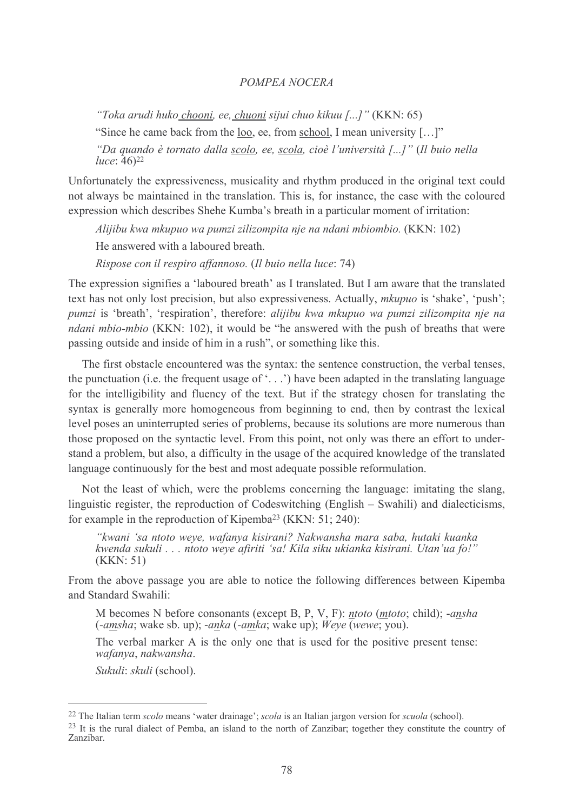"Toka arudi huko chooni, ee, chuoni sijui chuo kikuu [...]" (KKN: 65)

"Since he came back from the loo, ee, from school, I mean university [...]"

"Da quando è tornato dalla scolo, ee, scola, cioè l'università [...]" (Il buio nella luce:  $46)22$ 

Unfortunately the expressiveness, musicality and rhythm produced in the original text could not always be maintained in the translation. This is, for instance, the case with the coloured expression which describes Shehe Kumba's breath in a particular moment of irritation:

Alijibu kwa mkupuo wa pumzi zilizompita nje na ndani mbiombio.  $(KKN: 102)$ 

He answered with a laboured breath.

Rispose con il respiro affannoso. (Il buio nella luce: 74)

The expression signifies a 'laboured breath' as I translated. But I am aware that the translated text has not only lost precision, but also expressiveness. Actually, *mkupuo* is 'shake', 'push'; pumzi is 'breath', 'respiration', therefore: alijibu kwa mkupuo wa pumzi zilizompita nje na *ndani mbio-mbio* (KKN: 102), it would be "he answered with the push of breaths that were passing outside and inside of him in a rush", or something like this.

The first obstacle encountered was the syntax: the sentence construction, the verbal tenses. the punctuation (i.e. the frequent usage of  $\langle \cdot, \cdot, \cdot \rangle$ ) have been adapted in the translating language for the intelligibility and fluency of the text. But if the strategy chosen for translating the syntax is generally more homogeneous from beginning to end, then by contrast the lexical level poses an uninterrupted series of problems, because its solutions are more numerous than those proposed on the syntactic level. From this point, not only was there an effort to understand a problem, but also, a difficulty in the usage of the acquired knowledge of the translated language continuously for the best and most adequate possible reformulation.

Not the least of which, were the problems concerning the language: imitating the slang, linguistic register, the reproduction of Codeswitching (English  $-$  Swahili) and dialecticisms, for example in the reproduction of Kipemba<sup>23</sup> (KKN: 51; 240):

"kwani 'sa ntoto weye, wafanya kisirani? Nakwansha mara saba, hutaki kuanka kwenda sukuli . . . ntoto weye afiriti 'sa! Kila siku ukianka kisirani. Utan'ua fo!"  $(KKN:51)$ 

From the above passage you are able to notice the following differences between Kipemba and Standard Swahili<sup>-</sup>

M becomes N before consonants (except B, P, V, F): *ntoto* (*mtoto*; child); -*ansha*  $(-amsha;$  wake sb. up);  $-anka(-amka;$  wake up);  $Weye$  (wewe; you).

The verbal marker A is the only one that is used for the positive present tense: wafanya, nakwansha.

Sukuli: skuli (school).

<sup>&</sup>lt;sup>22</sup> The Italian term *scolo* means 'water drainage'; *scola* is an Italian jargon version for *scuola* (school).

<sup>&</sup>lt;sup>23</sup> It is the rural dialect of Pemba, an island to the north of Zanzibar; together they constitute the country of Zanzibar.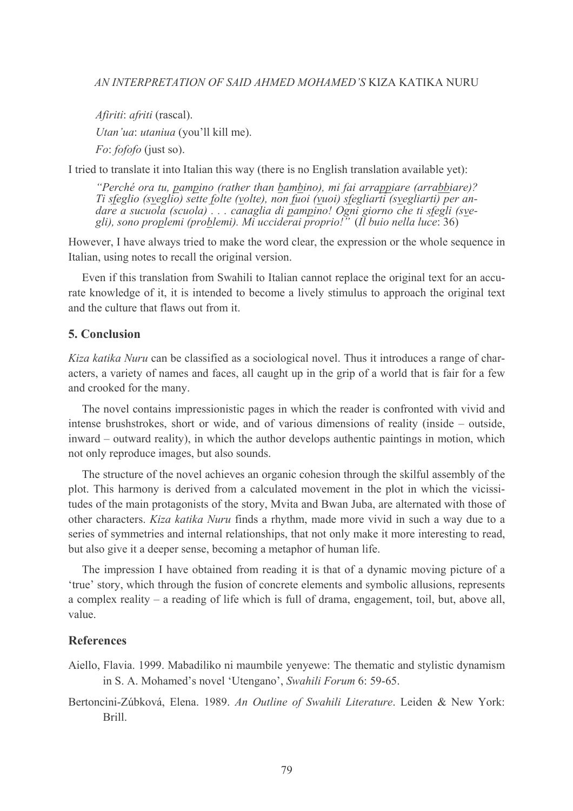Afiriti: afriti (rascal). Utan'ua: utaniua (you'll kill me). *Fo: fofofo* (just so).

I tried to translate it into Italian this way (there is no English translation available yet):

"Perché ora tu, pampino (rather than bambino), mi fai arrappiare (arrabbiare)? Ti sfeglio (sveglio) sette folte (volte), non fuoi (vuoi) sfegliarti (svegliarti) per andare a sucuola (scuola) ... canaglia di pampino! Ogni giorno che ti sfegli (sve-<br>gli), sono proplemi (problemi). Mi ucciderai proprio!" (Il buio nella luce: 36)

However, I have always tried to make the word clear, the expression or the whole sequence in Italian, using notes to recall the original version.

Even if this translation from Swahili to Italian cannot replace the original text for an accurate knowledge of it, it is intended to become a lively stimulus to approach the original text and the culture that flaws out from it.

## 5 Conclusion

Kiza katika Nuru can be classified as a sociological novel. Thus it introduces a range of characters, a variety of names and faces, all caught up in the grip of a world that is fair for a few and crooked for the many.

The novel contains impressionistic pages in which the reader is confronted with vivid and intense brushstrokes, short or wide, and of various dimensions of reality (inside – outside, inward – outward reality), in which the author develops authentic paintings in motion, which not only reproduce images, but also sounds.

The structure of the novel achieves an organic cohesion through the skilful assembly of the plot. This harmony is derived from a calculated movement in the plot in which the vicissitudes of the main protagonists of the story, Mvita and Bwan Juba, are alternated with those of other characters. Kiza katika Nuru finds a rhythm, made more vivid in such a way due to a series of symmetries and internal relationships, that not only make it more interesting to read, but also give it a deeper sense, becoming a metaphor of human life.

The impression I have obtained from reading it is that of a dynamic moving picture of a 'true' story, which through the fusion of concrete elements and symbolic allusions, represents a complex reality – a reading of life which is full of drama, engagement, toil, but, above all, value

### **References**

- Aiello, Flavia. 1999. Mabadiliko ni maumbile yenyewe: The thematic and stylistic dynamism in S. A. Mohamed's novel 'Utengano', Swahili Forum 6: 59-65.
- Bertoncini-Zúbková, Elena. 1989. An Outline of Swahili Literature. Leiden & New York: Brill